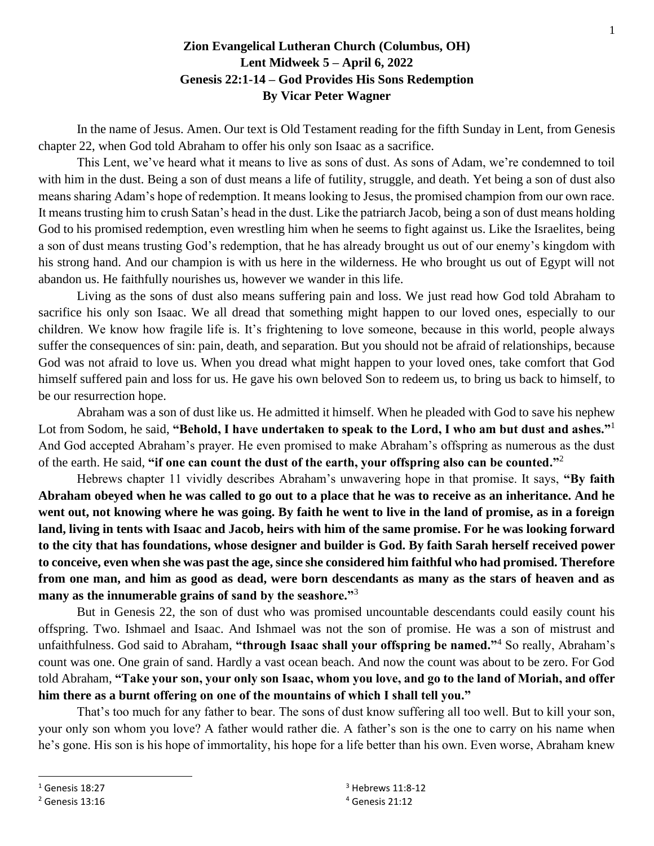## **Zion Evangelical Lutheran Church (Columbus, OH) Lent Midweek 5 – April 6, 2022 Genesis 22:1-14 – God Provides His Sons Redemption By Vicar Peter Wagner**

In the name of Jesus. Amen. Our text is Old Testament reading for the fifth Sunday in Lent, from Genesis chapter 22, when God told Abraham to offer his only son Isaac as a sacrifice.

This Lent, we've heard what it means to live as sons of dust. As sons of Adam, we're condemned to toil with him in the dust. Being a son of dust means a life of futility, struggle, and death. Yet being a son of dust also means sharing Adam's hope of redemption. It means looking to Jesus, the promised champion from our own race. It means trusting him to crush Satan's head in the dust. Like the patriarch Jacob, being a son of dust means holding God to his promised redemption, even wrestling him when he seems to fight against us. Like the Israelites, being a son of dust means trusting God's redemption, that he has already brought us out of our enemy's kingdom with his strong hand. And our champion is with us here in the wilderness. He who brought us out of Egypt will not abandon us. He faithfully nourishes us, however we wander in this life.

Living as the sons of dust also means suffering pain and loss. We just read how God told Abraham to sacrifice his only son Isaac. We all dread that something might happen to our loved ones, especially to our children. We know how fragile life is. It's frightening to love someone, because in this world, people always suffer the consequences of sin: pain, death, and separation. But you should not be afraid of relationships, because God was not afraid to love us. When you dread what might happen to your loved ones, take comfort that God himself suffered pain and loss for us. He gave his own beloved Son to redeem us, to bring us back to himself, to be our resurrection hope.

Abraham was a son of dust like us. He admitted it himself. When he pleaded with God to save his nephew Lot from Sodom, he said, **"Behold, I have undertaken to speak to the Lord, I who am but dust and ashes."**<sup>1</sup> And God accepted Abraham's prayer. He even promised to make Abraham's offspring as numerous as the dust of the earth. He said, **"if one can count the dust of the earth, your offspring also can be counted."**<sup>2</sup>

Hebrews chapter 11 vividly describes Abraham's unwavering hope in that promise. It says, **"By faith Abraham obeyed when he was called to go out to a place that he was to receive as an inheritance. And he went out, not knowing where he was going. By faith he went to live in the land of promise, as in a foreign land, living in tents with Isaac and Jacob, heirs with him of the same promise. For he was looking forward to the city that has foundations, whose designer and builder is God. By faith Sarah herself received power to conceive, even when she was past the age, since she considered him faithful who had promised. Therefore from one man, and him as good as dead, were born descendants as many as the stars of heaven and as many as the innumerable grains of sand by the seashore."**<sup>3</sup>

But in Genesis 22, the son of dust who was promised uncountable descendants could easily count his offspring. Two. Ishmael and Isaac. And Ishmael was not the son of promise. He was a son of mistrust and unfaithfulness. God said to Abraham, **"through Isaac shall your offspring be named."**<sup>4</sup> So really, Abraham's count was one. One grain of sand. Hardly a vast ocean beach. And now the count was about to be zero. For God told Abraham, **"Take your son, your only son Isaac, whom you love, and go to the land of Moriah, and offer him there as a burnt offering on one of the mountains of which I shall tell you."**

That's too much for any father to bear. The sons of dust know suffering all too well. But to kill your son, your only son whom you love? A father would rather die. A father's son is the one to carry on his name when he's gone. His son is his hope of immortality, his hope for a life better than his own. Even worse, Abraham knew

 $1$  Genesis 18:27

<sup>2</sup> Genesis 13:16

 $3$  Hebrews 11:8-12 <sup>4</sup> Genesis 21:12